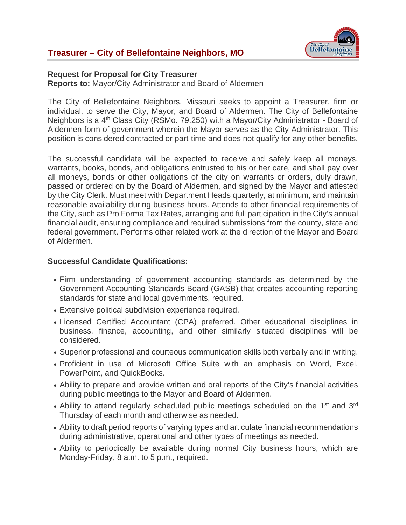

### **Request for Proposal for City Treasurer**

**Reports to:** Mayor/City Administrator and Board of Aldermen

The City of Bellefontaine Neighbors, Missouri seeks to appoint a Treasurer, firm or individual, to serve the City, Mayor, and Board of Aldermen. The City of Bellefontaine Neighbors is a 4th Class City (RSMo. 79.250) with a Mayor/City Administrator - Board of Aldermen form of government wherein the Mayor serves as the City Administrator. This position is considered contracted or part-time and does not qualify for any other benefits.

The successful candidate will be expected to receive and safely keep all moneys, warrants, books, bonds, and obligations entrusted to his or her care, and shall pay over all moneys, bonds or other obligations of the city on warrants or orders, duly drawn, passed or ordered on by the Board of Aldermen, and signed by the Mayor and attested by the City Clerk. Must meet with Department Heads quarterly, at minimum, and maintain reasonable availability during business hours. Attends to other financial requirements of the City, such as Pro Forma Tax Rates, arranging and full participation in the City's annual financial audit, ensuring compliance and required submissions from the county, state and federal government. Performs other related work at the direction of the Mayor and Board of Aldermen.

### **Successful Candidate Qualifications:**

- Firm understanding of government accounting standards as determined by the Government Accounting Standards Board (GASB) that creates accounting reporting standards for state and local governments, required.
- Extensive political subdivision experience required.
- Licensed Certified Accountant (CPA) preferred. Other educational disciplines in business, finance, accounting, and other similarly situated disciplines will be considered.
- Superior professional and courteous communication skills both verbally and in writing.
- Proficient in use of Microsoft Office Suite with an emphasis on Word, Excel, PowerPoint, and QuickBooks.
- Ability to prepare and provide written and oral reports of the City's financial activities during public meetings to the Mayor and Board of Aldermen.
- Ability to attend regularly scheduled public meetings scheduled on the 1<sup>st</sup> and 3<sup>rd</sup> Thursday of each month and otherwise as needed.
- Ability to draft period reports of varying types and articulate financial recommendations during administrative, operational and other types of meetings as needed.
- Ability to periodically be available during normal City business hours, which are Monday-Friday, 8 a.m. to 5 p.m., required.